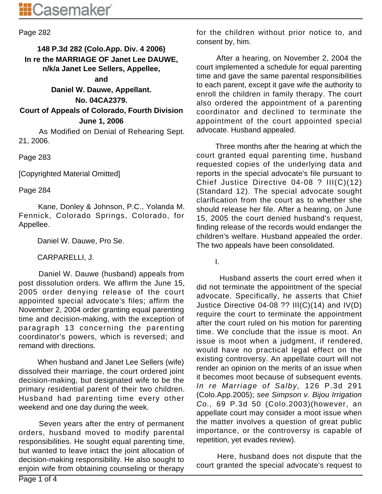## Page 282

# **148 P.3d 282 (Colo.App. Div. 4 2006) In re the MARRIAGE OF Janet Lee DAUWE, n/k/a Janet Lee Sellers, Appellee,**

#### **and**

**Daniel W. Dauwe, Appellant.**

#### **No. 04CA2379.**

**Court of Appeals of Colorado, Fourth Division June 1, 2006**

 As Modified on Denial of Rehearing Sept. 21, 2006.

Page 283

[Copyrighted Material Omitted]

Page 284

 Kane, Donley & Johnson, P.C., Yolanda M. Fennick, Colorado Springs, Colorado, for Appellee.

Daniel W. Dauwe, Pro Se.

CARPARELLI, J.

 Daniel W. Dauwe (husband) appeals from post dissolution orders. We affirm the June 15, 2005 order denying release of the court appointed special advocate's files; affirm the November 2, 2004 order granting equal parenting time and decision-making, with the exception of paragraph 13 concerning the parenting coordinator's powers, which is reversed; and remand with directions.

 When husband and Janet Lee Sellers (wife) dissolved their marriage, the court ordered joint decision-making, but designated wife to be the primary residential parent of their two children. Husband had parenting time every other weekend and one day during the week.

 Seven years after the entry of permanent orders, husband moved to modify parental responsibilities. He sought equal parenting time, but wanted to leave intact the joint allocation of decision-making responsibility. He also sought to enjoin wife from obtaining counseling or therapy for the children without prior notice to, and consent by, him.

 After a hearing, on November 2, 2004 the court implemented a schedule for equal parenting time and gave the same parental responsibilities to each parent, except it gave wife the authority to enroll the children in family therapy. The court also ordered the appointment of a parenting coordinator and declined to terminate the appointment of the court appointed special advocate. Husband appealed.

 Three months after the hearing at which the court granted equal parenting time, husband requested copies of the underlying data and reports in the special advocate's file pursuant to Chief Justice Directive 04-08 ? III(C)(12) (Standard 12). The special advocate sought clarification from the court as to whether she should release her file. After a hearing, on June 15, 2005 the court denied husband's request, finding release of the records would endanger the children's welfare. Husband appealed the order. The two appeals have been consolidated.

I.

 Husband asserts the court erred when it did not terminate the appointment of the special advocate. Specifically, he asserts that Chief Justice Directive 04-08 ?? III(C)(14) and IV(D) require the court to terminate the appointment after the court ruled on his motion for parenting time. We conclude that the issue is moot. An issue is moot when a judgment, if rendered, would have no practical legal effect on the existing controversy. An appellate court will not render an opinion on the merits of an issue when it becomes moot because of subsequent events. In re Marriage of Salby, 126 P.3d 291 (Colo.App.2005); see Simpson v. Bijou Irrigation Co., 69 P.3d 50 (Colo.2003)(however, an appellate court may consider a moot issue when the matter involves a question of great public importance, or the controversy is capable of repetition, yet evades review).

 Here, husband does not dispute that the court granted the special advocate's request to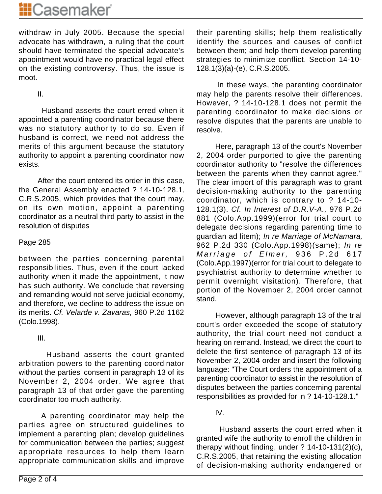withdraw in July 2005. Because the special advocate has withdrawn, a ruling that the court should have terminated the special advocate's appointment would have no practical legal effect on the existing controversy. Thus, the issue is moot.

II.

 Husband asserts the court erred when it appointed a parenting coordinator because there was no statutory authority to do so. Even if husband is correct, we need not address the merits of this argument because the statutory authority to appoint a parenting coordinator now exists.

 After the court entered its order in this case, the General Assembly enacted ? 14-10-128.1, C.R.S.2005, which provides that the court may, on its own motion, appoint a parenting coordinator as a neutral third party to assist in the resolution of disputes

## Page 285

between the parties concerning parental responsibilities. Thus, even if the court lacked authority when it made the appointment, it now has such authority. We conclude that reversing and remanding would not serve judicial economy, and therefore, we decline to address the issue on its merits. Cf. Velarde v. Zavaras, 960 P.2d 1162 (Colo.1998).

III.

 Husband asserts the court granted arbitration powers to the parenting coordinator without the parties' consent in paragraph 13 of its November 2, 2004 order. We agree that paragraph 13 of that order gave the parenting coordinator too much authority.

 A parenting coordinator may help the parties agree on structured guidelines to implement a parenting plan; develop guidelines for communication between the parties; suggest appropriate resources to help them learn appropriate communication skills and improve their parenting skills; help them realistically identify the sources and causes of conflict between them; and help them develop parenting strategies to minimize conflict. Section 14-10- 128.1(3)(a)-(e), C.R.S.2005.

 In these ways, the parenting coordinator may help the parents resolve their differences. However, ? 14-10-128.1 does not permit the parenting coordinator to make decisions or resolve disputes that the parents are unable to resolve.

 Here, paragraph 13 of the court's November 2, 2004 order purported to give the parenting coordinator authority to "resolve the differences between the parents when they cannot agree." The clear import of this paragraph was to grant decision-making authority to the parenting coordinator, which is contrary to ? 14-10- 128.1(3). Cf. In Interest of D.R.V-A., 976 P.2d 881 (Colo.App.1999)(error for trial court to delegate decisions regarding parenting time to guardian ad litem); In re Marriage of McNamara, 962 P.2d 330 (Colo.App.1998)(same); In re Marriage of Elmer, 936 P.2d 617 (Colo.App.1997)(error for trial court to delegate to psychiatrist authority to determine whether to permit overnight visitation). Therefore, that portion of the November 2, 2004 order cannot stand.

 However, although paragraph 13 of the trial court's order exceeded the scope of statutory authority, the trial court need not conduct a hearing on remand. Instead, we direct the court to delete the first sentence of paragraph 13 of its November 2, 2004 order and insert the following language: "The Court orders the appointment of a parenting coordinator to assist in the resolution of disputes between the parties concerning parental responsibilities as provided for in ? 14-10-128.1."

# IV.

 Husband asserts the court erred when it granted wife the authority to enroll the children in therapy without finding, under ? 14-10-131(2)(c), C.R.S.2005, that retaining the existing allocation of decision-making authority endangered or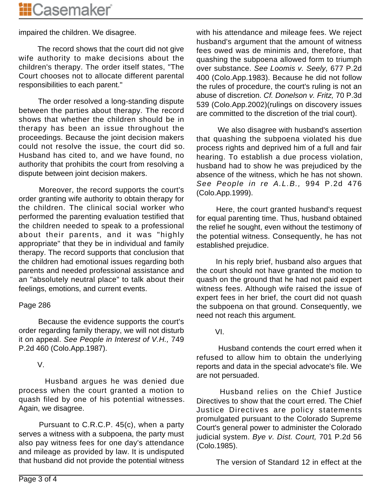impaired the children. We disagree.

 The record shows that the court did not give wife authority to make decisions about the children's therapy. The order itself states, "The Court chooses not to allocate different parental responsibilities to each parent."

 The order resolved a long-standing dispute between the parties about therapy. The record shows that whether the children should be in therapy has been an issue throughout the proceedings. Because the joint decision makers could not resolve the issue, the court did so. Husband has cited to, and we have found, no authority that prohibits the court from resolving a dispute between joint decision makers.

 Moreover, the record supports the court's order granting wife authority to obtain therapy for the children. The clinical social worker who performed the parenting evaluation testified that the children needed to speak to a professional about their parents, and it was "highly appropriate" that they be in individual and family therapy. The record supports that conclusion that the children had emotional issues regarding both parents and needed professional assistance and an "absolutely neutral place" to talk about their feelings, emotions, and current events.

# Page 286

 Because the evidence supports the court's order regarding family therapy, we will not disturb it on appeal. See People in Interest of V.H., 749 P.2d 460 (Colo.App.1987).

# V.

 Husband argues he was denied due process when the court granted a motion to quash filed by one of his potential witnesses. Again, we disagree.

 Pursuant to C.R.C.P. 45(c), when a party serves a witness with a subpoena, the party must also pay witness fees for one day's attendance and mileage as provided by law. It is undisputed that husband did not provide the potential witness with his attendance and mileage fees. We reject husband's argument that the amount of witness fees owed was de minimis and, therefore, that quashing the subpoena allowed form to triumph over substance. See Loomis v. Seely, 677 P.2d 400 (Colo.App.1983). Because he did not follow the rules of procedure, the court's ruling is not an abuse of discretion. Cf. Donelson v. Fritz, 70 P.3d 539 (Colo.App.2002)(rulings on discovery issues are committed to the discretion of the trial court).

 We also disagree with husband's assertion that quashing the subpoena violated his due process rights and deprived him of a full and fair hearing. To establish a due process violation, husband had to show he was prejudiced by the absence of the witness, which he has not shown. See People in re A.L.B., 994 P.2d 476 (Colo.App.1999).

 Here, the court granted husband's request for equal parenting time. Thus, husband obtained the relief he sought, even without the testimony of the potential witness. Consequently, he has not established prejudice.

 In his reply brief, husband also argues that the court should not have granted the motion to quash on the ground that he had not paid expert witness fees. Although wife raised the issue of expert fees in her brief, the court did not quash the subpoena on that ground. Consequently, we need not reach this argument.

VI.

 Husband contends the court erred when it refused to allow him to obtain the underlying reports and data in the special advocate's file. We are not persuaded.

 Husband relies on the Chief Justice Directives to show that the court erred. The Chief Justice Directives are policy statements promulgated pursuant to the Colorado Supreme Court's general power to administer the Colorado judicial system. Bye v. Dist. Court, 701 P.2d 56 (Colo.1985).

The version of Standard 12 in effect at the